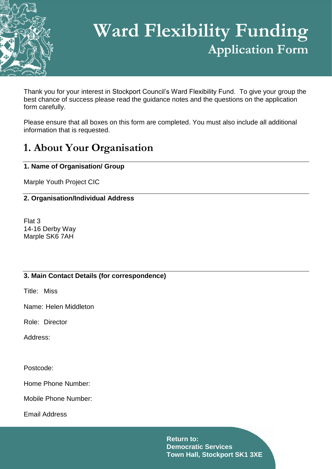

# **Ward Flexibility Funding Application Form**

Thank you for your interest in Stockport Council's Ward Flexibility Fund. To give your group the best chance of success please read the guidance notes and the questions on the application form carefully.

Please ensure that all boxes on this form are completed. You must also include all additional information that is requested.

# **1. About Your Organisation**

# **1. Name of Organisation/ Group**

Marple Youth Project CIC

# **2. Organisation/Individual Address**

Flat 3 14-16 Derby Way Marple SK6 7AH

### **3. Main Contact Details (for correspondence)**

Title: Miss

Name: Helen Middleton

Role: Director

Address:

Postcode:

Home Phone Number:

Mobile Phone Number:

Email Address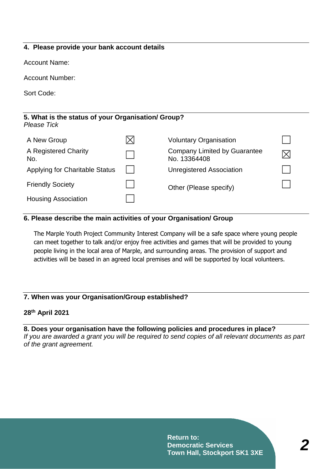### **4. Please provide your bank account details**

Account Name:

Account Number:

Sort Code:

| 5. What is the status of your Organisation/ Group?<br>Please Tick |          |                                              |  |  |  |  |  |
|-------------------------------------------------------------------|----------|----------------------------------------------|--|--|--|--|--|
| A New Group                                                       | $\times$ | <b>Voluntary Organisation</b>                |  |  |  |  |  |
| A Registered Charity<br>No.                                       |          | Company Limited by Guarantee<br>No. 13364408 |  |  |  |  |  |
| <b>Applying for Charitable Status</b>                             |          | <b>Unregistered Association</b>              |  |  |  |  |  |
| <b>Friendly Society</b>                                           |          | Other (Please specify)                       |  |  |  |  |  |
| <b>Housing Association</b>                                        |          |                                              |  |  |  |  |  |

#### **6. Please describe the main activities of your Organisation/ Group**

The Marple Youth Project Community Interest Company will be a safe space where young people can meet together to talk and/or enjoy free activities and games that will be provided to young people living in the local area of Marple, and surrounding areas. The provision of support and activities will be based in an agreed local premises and will be supported by local volunteers.

#### **7. When was your Organisation/Group established?**

#### **28th April 2021**

**8. Does your organisation have the following policies and procedures in place?**  *If you are awarded a grant you will be required to send copies of all relevant documents as part of the grant agreement.*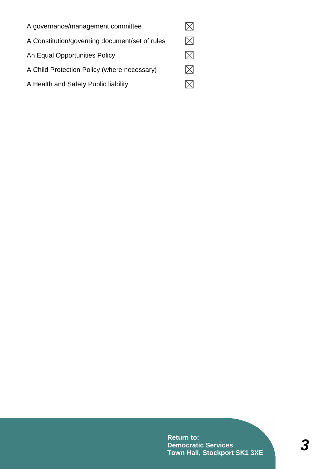| A governance/management committee              |  |
|------------------------------------------------|--|
| A Constitution/governing document/set of rules |  |
| An Equal Opportunities Policy                  |  |
| A Child Protection Policy (where necessary)    |  |
| A Health and Safety Public liability           |  |

**Return to: Democratic Services Town Hall, Stockport SK1 3XE**

*3*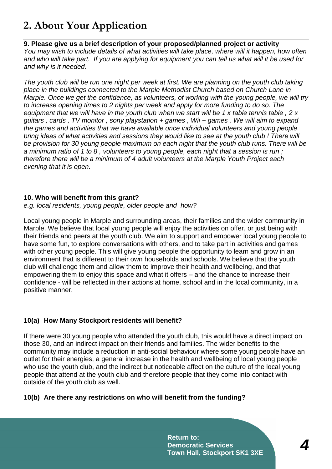# **2. About Your Application**

### **9. Please give us a brief description of your proposed/planned project or activity**

*You may wish to include details of what activities will take place, where will it happen, how often and who will take part. If you are applying for equipment you can tell us what will it be used for and why is it needed.*

*The youth club will be run one night per week at first. We are planning on the youth club taking place in the buildings connected to the Marple Methodist Church based on Church Lane in Marple. Once we get the confidence, as volunteers, of working with the young people, we will try to increase opening times to 2 nights per week and apply for more funding to do so. The equipment that we will have in the youth club when we start will be 1 x table tennis table , 2 x guitars , cards , TV monitor , sony playstation + games , Wii + games . We will aim to expand the games and activities that we have available once individual volunteers and young people bring ideas of what activities and sessions they would like to see at the youth club ! There will be provision for 30 young people maximum on each night that the youth club runs. There will be a minimum ratio of 1 to 8 , volunteers to young people, each night that a session is run ; therefore there will be a minimum of 4 adult volunteers at the Marple Youth Project each evening that it is open.*

#### **10. Who will benefit from this grant?** *e.g. local residents, young people, older people and how?*

Local young people in Marple and surrounding areas, their families and the wider community in Marple. We believe that local young people will enjoy the activities on offer, or just being with their friends and peers at the youth club. We aim to support and empower local young people to have some fun, to explore conversations with others, and to take part in activities and games with other young people. This will give young people the opportunity to learn and grow in an environment that is different to their own households and schools. We believe that the youth club will challenge them and allow them to improve their health and wellbeing, and that empowering them to enjoy this space and what it offers – and the chance to increase their confidence - will be reflected in their actions at home, school and in the local community, in a positive manner.

# **10(a) How Many Stockport residents will benefit?**

If there were 30 young people who attended the youth club, this would have a direct impact on those 30, and an indirect impact on their friends and families. The wider benefits to the community may include a reduction in anti-social behaviour where some young people have an outlet for their energies, a general increase in the health and wellbeing of local young people who use the youth club, and the indirect but noticeable affect on the culture of the local young people that attend at the youth club and therefore people that they come into contact with outside of the youth club as well.

### **10(b) Are there any restrictions on who will benefit from the funding?**

**Return to: Democratic Services Town Hall, Stockport SK1 3XE**

*4*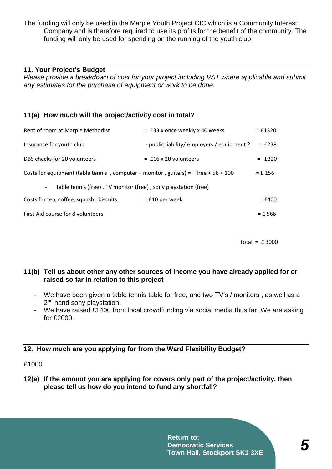The funding will only be used in the Marple Youth Project CIC which is a Community Interest Company and is therefore required to use its profits for the benefit of the community. The funding will only be used for spending on the running of the youth club.

#### **11. Your Project's Budget**

*Please provide a breakdown of cost for your project including VAT where applicable and submit any estimates for the purchase of equipment or work to be done.*

#### **11(a) How much will the project/activity cost in total?**

| $=$ £33 x once weekly x 40 weeks                                                                 | $=$ £1320 |  |  |  |  |  |
|--------------------------------------------------------------------------------------------------|-----------|--|--|--|--|--|
| - public liability/ employers / equipment ?                                                      | $=$ £238  |  |  |  |  |  |
| $=$ £16 x 20 volunteers                                                                          | $=$ £320  |  |  |  |  |  |
| Costs for equipment (table tennis, computer + monitor, guitars) = free + $56 + 100$<br>$= f 156$ |           |  |  |  |  |  |
| table tennis (free), TV monitor (free), sony playstation (free)<br>$\overline{\phantom{a}}$      |           |  |  |  |  |  |
| $=$ £10 per week                                                                                 | $=$ £400  |  |  |  |  |  |
|                                                                                                  | $=$ £ 566 |  |  |  |  |  |
|                                                                                                  |           |  |  |  |  |  |

Total = £ 3000

#### **11(b) Tell us about other any other sources of income you have already applied for or raised so far in relation to this project**

- We have been given a table tennis table for free, and two TV's / monitors , as well as a 2<sup>nd</sup> hand sony playstation.
- We have raised £1400 from local crowdfunding via social media thus far. We are asking for £2000.

#### **12. How much are you applying for from the Ward Flexibility Budget?**

£1000

**12(a) If the amount you are applying for covers only part of the project/activity, then please tell us how do you intend to fund any shortfall?**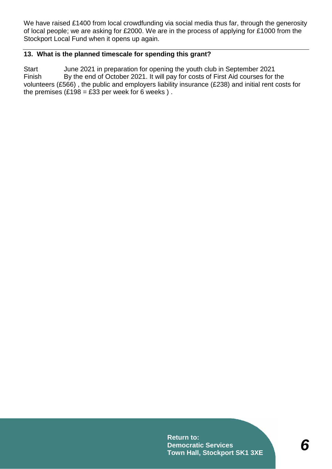We have raised £1400 from local crowdfunding via social media thus far, through the generosity of local people; we are asking for £2000. We are in the process of applying for £1000 from the Stockport Local Fund when it opens up again.

# **13. What is the planned timescale for spending this grant?**

Start June 2021 in preparation for opening the youth club in September 2021 Finish By the end of October 2021. It will pay for costs of First Aid courses for the volunteers (£566) , the public and employers liability insurance (£238) and initial rent costs for the premises  $(E198 = E33$  per week for 6 weeks).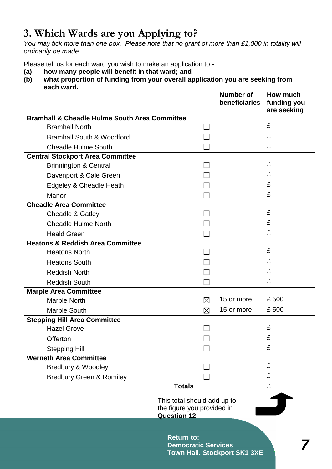# **3. Which Wards are you Applying to?**

*You may tick more than one box. Please note that no grant of more than £1,000 in totality will ordinarily be made.*

Please tell us for each ward you wish to make an application to:-

- **(a) how many people will benefit in that ward; and**
- **(b) what proportion of funding from your overall application you are seeking from each ward.**

|                                                                                 |                                                 | <b>Number of</b><br>beneficiaries   | How much<br>funding you<br>are seeking |
|---------------------------------------------------------------------------------|-------------------------------------------------|-------------------------------------|----------------------------------------|
| <b>Bramhall &amp; Cheadle Hulme South Area Committee</b>                        |                                                 |                                     |                                        |
| <b>Bramhall North</b>                                                           |                                                 |                                     | £                                      |
| <b>Bramhall South &amp; Woodford</b>                                            |                                                 |                                     | £                                      |
| <b>Cheadle Hulme South</b>                                                      |                                                 |                                     | £                                      |
| <b>Central Stockport Area Committee</b>                                         |                                                 |                                     |                                        |
| <b>Brinnington &amp; Central</b>                                                |                                                 |                                     | £                                      |
| Davenport & Cale Green                                                          |                                                 |                                     | £                                      |
| Edgeley & Cheadle Heath                                                         |                                                 |                                     | £                                      |
| Manor                                                                           |                                                 |                                     | £                                      |
| <b>Cheadle Area Committee</b>                                                   |                                                 |                                     |                                        |
| Cheadle & Gatley                                                                |                                                 |                                     | £                                      |
| <b>Cheadle Hulme North</b>                                                      |                                                 |                                     | £                                      |
| <b>Heald Green</b>                                                              |                                                 |                                     | £                                      |
| <b>Heatons &amp; Reddish Area Committee</b>                                     |                                                 |                                     |                                        |
| <b>Heatons North</b>                                                            |                                                 |                                     | £                                      |
| <b>Heatons South</b>                                                            |                                                 |                                     | £                                      |
| <b>Reddish North</b>                                                            |                                                 |                                     | £                                      |
| <b>Reddish South</b>                                                            |                                                 |                                     | £                                      |
| <b>Marple Area Committee</b>                                                    |                                                 |                                     |                                        |
| <b>Marple North</b>                                                             | ⊠                                               | 15 or more                          | £500                                   |
| Marple South                                                                    | $\boxtimes$                                     | 15 or more                          | £500                                   |
| <b>Stepping Hill Area Committee</b>                                             |                                                 |                                     |                                        |
| <b>Hazel Grove</b>                                                              |                                                 |                                     | £                                      |
| Offerton                                                                        |                                                 |                                     | £                                      |
| <b>Stepping Hill</b>                                                            |                                                 |                                     | £                                      |
| <b>Werneth Area Committee</b>                                                   |                                                 |                                     |                                        |
| Bredbury & Woodley                                                              |                                                 |                                     | £                                      |
| <b>Bredbury Green &amp; Romiley</b>                                             |                                                 |                                     | £                                      |
|                                                                                 | <b>Totals</b>                                   |                                     | £                                      |
| This total should add up to<br>the figure you provided in<br><b>Question 12</b> |                                                 |                                     |                                        |
|                                                                                 | <b>Return to:</b><br><b>Democratic Services</b> | <b>Town Hall, Stockport SK1 3XE</b> |                                        |